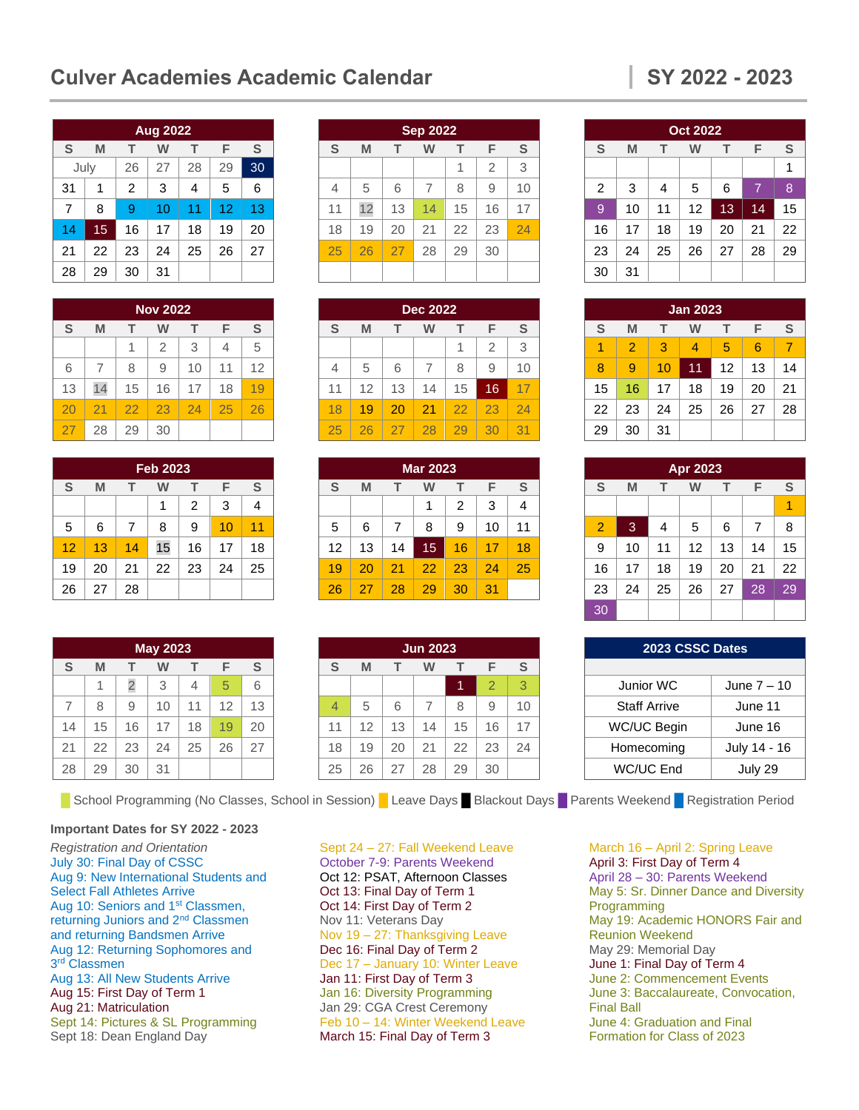# **Culver Academies Academic Calendar SY 2022 - 2023**

|      |    |    | <b>Aug 2022</b> |    |    |    |
|------|----|----|-----------------|----|----|----|
| S    | M  | т  | w               | т  | F  | S  |
| July |    | 26 | 27              | 28 | 29 | 30 |
| 31   | 1  | 2  | 3               | 4  | 5  | 6  |
| 7    | 8  | 9  | 10              | 11 | 12 | 13 |
| 14   | 15 | 16 | 17              | 18 | 19 | 20 |
| 21   | 22 | 23 | 24              | 25 | 26 | 27 |
| 28   | 29 | 30 | 31              |    |    |    |

|    | <b>Nov 2022</b> |    |                |    |    |    |
|----|-----------------|----|----------------|----|----|----|
| S  | M               |    | w              | т  | F  | S  |
|    |                 | 1  | $\overline{2}$ | 3  | 4  | 5  |
| 6  | $\overline{7}$  | 8  | 9              | 10 | 11 | 12 |
| 13 | 14              | 15 | 16             | 17 | 18 | 19 |
| 20 | 21              | 22 | 23             | 24 | 25 | 26 |
| 27 | 28              | 29 | 30             |    |    |    |

|    | <b>Feb 2023</b> |    |    |    |    |    |
|----|-----------------|----|----|----|----|----|
| S  | M               | т  | W  | т  | F  | S  |
|    |                 |    | 1  | 2  | 3  | 4  |
| 5  | 6               | 7  | 8  | 9  | 10 | 11 |
| 12 | 13              | 14 | 15 | 16 | 17 | 18 |
| 19 | 20              | 21 | 22 | 23 | 24 | 25 |
| 26 | 27              | 28 |    |    |    |    |

|                |    |                | <b>May 2023</b> |    |    |    |
|----------------|----|----------------|-----------------|----|----|----|
| S              | M  | $\top$         | W               | т  | F  | S  |
|                | 1  | $\overline{c}$ | 3               | 4  | 5  | 6  |
| $\overline{7}$ | 8  | 9              | 10              | 11 | 12 | 13 |
| 14             | 15 | 16             | 17              | 18 | 19 | 20 |
| 21             | 22 | 23             | 24              | 25 | 26 | 27 |
| 28             | 29 | 30             | 31              |    |    |    |

■ School Programming (No Classes, School in Session) ■ Leave Days ■ Blackout Days ■ Parents Weekend ■ Registration Period

#### **Important Dates for SY 2022 - 2023**

*Registration and Orientation* July 30: Final Day of CSSC Aug 9: New International Students and Select Fall Athletes Arrive Aug 10: Seniors and 1<sup>st</sup> Classmen, returning Juniors and 2nd Classmen and returning Bandsmen Arrive Aug 12: Returning Sophomores and 3<sup>rd</sup> Classmen Aug 13: All New Students Arrive Aug 15: First Day of Term 1 Aug 21: Matriculation Sept 14: Pictures & SL Programming Sept 18: Dean England Day

# **Sep 2022 S M T W T F S**  $1 \mid 2 \mid 3$ 4 5 6 7 8 9 10 11 | 12 | 13 | 14 | 15 | 16 | 17 18 | 19 | 20 | 21 | 22 | 23 <mark>| 24</mark> 25 26 27 28 29 30

|    |    |    | <b>Dec 2022</b> |    |                |    |
|----|----|----|-----------------|----|----------------|----|
| S  | M  |    | w               | т  | F              | S  |
|    |    |    |                 | 1  | $\overline{2}$ | 3  |
|    | 5  | 6  | $\overline{7}$  | 8  | 9              | 10 |
| 11 | 12 | 13 | 14              | 15 | 16             | 17 |
| 18 | 19 | 20 | 21              | 22 | 23             | 24 |
| 25 | 26 | 27 | 28              | 29 | 30             | 31 |

|    | <b>Mar 2023</b> |    |    |    |    |    |
|----|-----------------|----|----|----|----|----|
| S  | M               |    | w  |    | F  | S  |
|    |                 |    | 1  | 2  | 3  | 4  |
| 5  | 6               | 7  | 8  | 9  | 10 | 11 |
| 12 | 13              | 14 | 15 | 16 | 17 | 18 |
| 19 | 20              | 21 | 22 | 23 | 24 | 25 |
| 26 | 27              | 28 | 29 | 30 | 31 |    |

| <b>Jun 2023</b> |                  |    |    |    |                |    |
|-----------------|------------------|----|----|----|----------------|----|
| S               | F<br>M<br>т<br>w |    |    |    |                |    |
|                 |                  |    |    | 1  | $\overline{2}$ | 3  |
| $\overline{4}$  | 5                | 6  | 7  | 8  | 9              | 10 |
| 11              | 12               | 13 | 14 | 15 | 16             | 17 |
| 18              | 19               | 20 | 21 | 22 | 23             | 24 |
| 25              | 26               | 27 | 28 | 29 | 30             |    |

Sept 24 – 27: Fall Weekend Leave October 7-9: Parents Weekend Oct 12: PSAT, Afternoon Classes Oct 13: Final Day of Term 1 Oct 14: First Day of Term 2 Nov 11: Veterans Day Nov 19 – 27: Thanksgiving Leave Dec 16: Final Day of Term 2 Dec 17 – January 10: Winter Leave Jan 11: First Day of Term 3 Jan 16: Diversity Programming Jan 29: CGA Crest Ceremony Feb 10 – 14: Winter Weekend Leave March 15: Final Day of Term 3

|    | <b>Oct 2022</b> |    |    |    |    |               |
|----|-----------------|----|----|----|----|---------------|
| S  | M               | т  | W  | т  | F  | ${\mathsf S}$ |
|    |                 |    |    |    |    | 1             |
| 2  | 3               | 4  | 5  | 6  | 7  | 8             |
| 9  | 10              | 11 | 12 | 13 | 14 | 15            |
| 16 | 17              | 18 | 19 | 20 | 21 | 22            |
| 23 | 24              | 25 | 26 | 27 | 28 | 29            |
| 30 | 31              |    |    |    |    |               |

|    | <b>Jan 2023</b> |    |    |    |    |    |
|----|-----------------|----|----|----|----|----|
| S  | M               | т  | w  | т  | F  | S  |
| 1  | $\overline{2}$  | 3  | 4  | 5  | 6  | 7  |
| 8  | 9               | 10 | 11 | 12 | 13 | 14 |
| 15 | 16              | 17 | 18 | 19 | 20 | 21 |
| 22 | 23              | 24 | 25 | 26 | 27 | 28 |
| 29 | 30              | 31 |    |    |    |    |

| Apr 2023       |    |    |    |    |    |    |
|----------------|----|----|----|----|----|----|
| S              | M  | т  | W  | т  | F  | S  |
|                |    |    |    |    |    |    |
| $\overline{2}$ | 3  | 4  | 5  | 6  | 7  | 8  |
| 9              | 10 | 11 | 12 | 13 | 14 | 15 |
| 16             | 17 | 18 | 19 | 20 | 21 | 22 |
| 23             | 24 | 25 | 26 | 27 | 28 | 29 |
| 30             |    |    |    |    |    |    |

| 2023 CSSC Dates     |              |  |  |  |
|---------------------|--------------|--|--|--|
|                     |              |  |  |  |
| Junior WC           | June 7 - 10  |  |  |  |
| <b>Staff Arrive</b> | June 11      |  |  |  |
| WC/UC Begin         | June 16      |  |  |  |
| Homecoming          | July 14 - 16 |  |  |  |
| WC/UC End           | July 29      |  |  |  |

March 16 – April 2: Spring Leave April 3: First Day of Term 4 April 28 – 30: Parents Weekend May 5: Sr. Dinner Dance and Diversity Programming May 19: Academic HONORS Fair and Reunion Weekend May 29: Memorial Day June 1: Final Day of Term 4 June 2: Commencement Events June 3: Baccalaureate, Convocation, Final Ball June 4: Graduation and Final Formation for Class of 2023